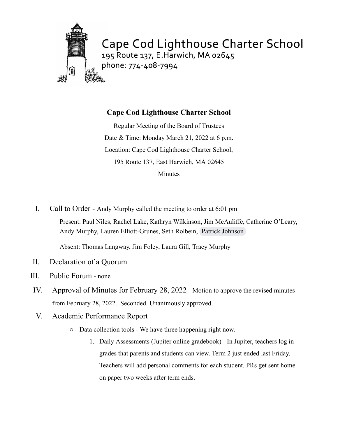

Cape Cod Lighthouse Charter School 195 Route 137, E. Harwich, MA 02645 phone: 774-408-7994

# **Cape Cod Lighthouse Charter School**

Regular Meeting of the Board of Trustees Date & Time: Monday March 21, 2022 at 6 p.m. Location: Cape Cod Lighthouse Charter School, 195 Route 137, East Harwich, MA 02645 Minutes

I. Call to Order - Andy Murphy called the meeting to order at 6:01 pm Present: Paul Niles, Rachel Lake, Kathryn Wilkinson, Jim McAuliffe, Catherine O'Leary, Andy Murphy, Lauren Elliott-Grunes, Seth Rolbein, [Patrick Johnson](mailto:pjohnson@cclcs.info)

Absent: Thomas Langway, Jim Foley, Laura Gill, Tracy Murphy

- II. Declaration of a Quorum
- III. Public Forum none
- IV. Approval of Minutes for February 28, 2022 Motion to approve the revised minutes from February 28, 2022. Seconded. Unanimously approved.
- V. Academic Performance Report
	- Data collection tools We have three happening right now.
		- 1. Daily Assessments (Jupiter online gradebook) In Jupiter, teachers log in grades that parents and students can view. Term 2 just ended last Friday. Teachers will add personal comments for each student. PRs get sent home on paper two weeks after term ends.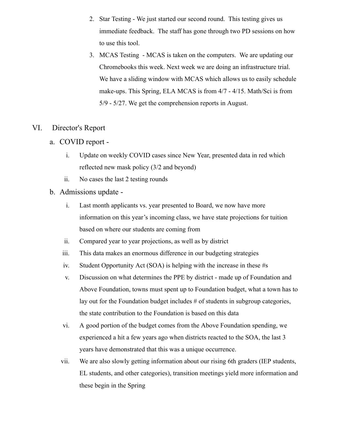- 2. Star Testing We just started our second round. This testing gives us immediate feedback. The staff has gone through two PD sessions on how to use this tool.
- 3. MCAS Testing MCAS is taken on the computers. We are updating our Chromebooks this week. Next week we are doing an infrastructure trial. We have a sliding window with MCAS which allows us to easily schedule make-ups. This Spring, ELA MCAS is from 4/7 - 4/15. Math/Sci is from 5/9 - 5/27. We get the comprehension reports in August.

#### VI. Director's Report

- a. COVID report
	- i. Update on weekly COVID cases since New Year, presented data in red which reflected new mask policy (3/2 and beyond)
	- ii. No cases the last 2 testing rounds

#### b. Admissions update -

- i. Last month applicants vs. year presented to Board, we now have more information on this year's incoming class, we have state projections for tuition based on where our students are coming from
- ii. Compared year to year projections, as well as by district
- iii. This data makes an enormous difference in our budgeting strategies
- iv. Student Opportunity Act (SOA) is helping with the increase in these #s
- v. Discussion on what determines the PPE by district made up of Foundation and Above Foundation, towns must spent up to Foundation budget, what a town has to lay out for the Foundation budget includes # of students in subgroup categories, the state contribution to the Foundation is based on this data
- vi. A good portion of the budget comes from the Above Foundation spending, we experienced a hit a few years ago when districts reacted to the SOA, the last 3 years have demonstrated that this was a unique occurrence.
- vii. We are also slowly getting information about our rising 6th graders (IEP students, EL students, and other categories), transition meetings yield more information and these begin in the Spring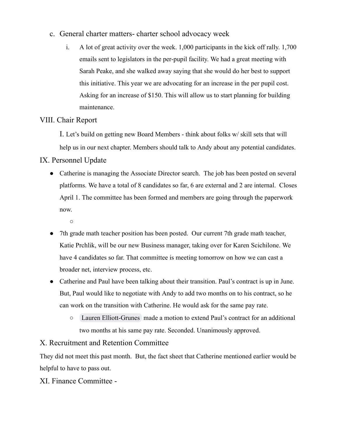- c. General charter matters- charter school advocacy week
	- i. A lot of great activity over the week. 1,000 participants in the kick off rally. 1,700 emails sent to legislators in the per-pupil facility. We had a great meeting with Sarah Peake, and she walked away saying that she would do her best to support this initiative. This year we are advocating for an increase in the per pupil cost. Asking for an increase of \$150. This will allow us to start planning for building maintenance.

## VIII. Chair Report

I. Let's build on getting new Board Members - think about folks w/ skill sets that will help us in our next chapter. Members should talk to Andy about any potential candidates.

## IX. Personnel Update

- Catherine is managing the Associate Director search. The job has been posted on several platforms. We have a total of 8 candidates so far, 6 are external and 2 are internal. Closes April 1. The committee has been formed and members are going through the paperwork now.
	- ○
- 7th grade math teacher position has been posted. Our current 7th grade math teacher, Katie Prchlik, will be our new Business manager, taking over for Karen Scichilone. We have 4 candidates so far. That committee is meeting tomorrow on how we can cast a broader net, interview process, etc.
- Catherine and Paul have been talking about their transition. Paul's contract is up in June. But, Paul would like to negotiate with Andy to add two months on to his contract, so he can work on the transition with Catherine. He would ask for the same pay rate.
	- [Lauren Elliott-Grunes](mailto:1mermaidmomma@gmail.com) made a motion to extend Paul's contract for an additional two months at his same pay rate. Seconded. Unanimously approved.

#### X. Recruitment and Retention Committee

They did not meet this past month. But, the fact sheet that Catherine mentioned earlier would be helpful to have to pass out.

#### XI. Finance Committee -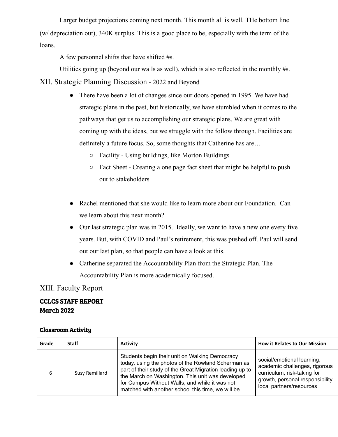Larger budget projections coming next month. This month all is well. THe bottom line (w/ depreciation out), 340K surplus. This is a good place to be, especially with the term of the loans.

A few personnel shifts that have shifted #s.

Utilities going up (beyond our walls as well), which is also reflected in the monthly #s.

XII. Strategic Planning Discussion - 2022 and Beyond

- There have been a lot of changes since our doors opened in 1995. We have had strategic plans in the past, but historically, we have stumbled when it comes to the pathways that get us to accomplishing our strategic plans. We are great with coming up with the ideas, but we struggle with the follow through. Facilities are definitely a future focus. So, some thoughts that Catherine has are…
	- Facility Using buildings, like Morton Buildings
	- Fact Sheet Creating a one page fact sheet that might be helpful to push out to stakeholders
- Rachel mentioned that she would like to learn more about our Foundation. Can we learn about this next month?
- Our last strategic plan was in 2015. Ideally, we want to have a new one every five years. But, with COVID and Paul's retirement, this was pushed off. Paul will send out our last plan, so that people can have a look at this.
- Catherine separated the Accountability Plan from the Strategic Plan. The Accountability Plan is more academically focused.

XIII. Faculty Report

# CCLCS STAFF REPORT March 2022

#### Classroom Activity

| Grade | <b>Staff</b>   | <b>Activity</b>                                                                                                                                                                                                                                                                                                             | <b>How it Relates to Our Mission</b>                                                                                                                       |
|-------|----------------|-----------------------------------------------------------------------------------------------------------------------------------------------------------------------------------------------------------------------------------------------------------------------------------------------------------------------------|------------------------------------------------------------------------------------------------------------------------------------------------------------|
| 6     | Susy Remillard | Students begin their unit on Walking Democracy<br>today, using the photos of the Rowland Scherman as<br>part of their study of the Great Migration leading up to<br>the March on Washington. This unit was developed<br>for Campus Without Walls, and while it was not<br>matched with another school this time, we will be | social/emotional learning,<br>academic challenges, rigorous<br>curriculum, risk-taking for<br>growth, personal responsibility,<br>local partners/resources |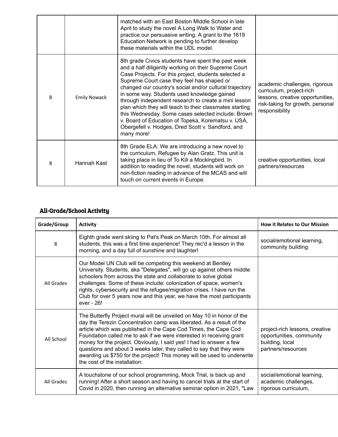|   |                     | matched with an East Boston Middle School in late<br>April to study the novel A Long Walk to Water and<br>practice our persuasive writing. A grant to the 1619<br>Education Network is pending to further develop<br>these materials within the UDL model.                                                                                                                                                                                                                                                                                                                                                                   |                                                                                                                                                     |
|---|---------------------|------------------------------------------------------------------------------------------------------------------------------------------------------------------------------------------------------------------------------------------------------------------------------------------------------------------------------------------------------------------------------------------------------------------------------------------------------------------------------------------------------------------------------------------------------------------------------------------------------------------------------|-----------------------------------------------------------------------------------------------------------------------------------------------------|
| 8 | <b>Emily Nowack</b> | 8th grade Civics students have spent the past week<br>and a half diligently working on their Supreme Court<br>Case Projects. For this project, students selected a<br>Supreme Court case they feel has shaped or<br>changed our country's social and/or cultural trajectory<br>in some way. Students used knowledge gained<br>through independent research to create a mini lesson<br>plan which they will teach to their classmates starting<br>this Wednesday. Some cases selected include: Brown<br>v. Board of Education of Topeka, Korematsu v. USA,<br>Obergefell v. Hodges, Dred Scott v. Sandford, and<br>many more! | academic challenges, rigorous<br>curriculum, project-rich<br>lessons, creative opportunities,<br>risk-taking for growth, personal<br>responsibility |
| 8 | Hannah Kast         | 8th Grade ELA: We are introducing a new novel to<br>the curriculum, Refugee by Alan Gratz. This unit is<br>taking place in lieu of To Kill a Mockingbird. In<br>addition to reading the novel, students will work on<br>non-fiction reading in advance of the MCAS and will<br>touch on current events in Europe.                                                                                                                                                                                                                                                                                                            | creative opportunities, local<br>partners/resources                                                                                                 |

### All-Grade/School Activity

| Grade/Group | <b>Activity</b>                                                                                                                                                                                                                                                                                                                                                                                                                                                                                                                                       | <b>How it Relates to Our Mission</b>                                                                |
|-------------|-------------------------------------------------------------------------------------------------------------------------------------------------------------------------------------------------------------------------------------------------------------------------------------------------------------------------------------------------------------------------------------------------------------------------------------------------------------------------------------------------------------------------------------------------------|-----------------------------------------------------------------------------------------------------|
| 8           | Eighth grade went skiing to Pat's Peak on March 10th. For almost all<br>students, this was a first time experience! They rec'd a lesson in the<br>morning, and a day full of sunshine and laughter!                                                                                                                                                                                                                                                                                                                                                   | social/emotional learning,<br>community building                                                    |
| All Grades  | Our Model UN Club will be competing this weekend at Bentley<br>University. Students, aka "Delegates", will go up against others middle<br>schoolers from across the state and collaborate to solve global<br>challenges. Some of these include: colonization of space, women's<br>rights, cybersecurity and the refugee/migration crises. I have run the<br>Club for over 5 years now and this year, we have the most participants<br>ever - 26!                                                                                                      |                                                                                                     |
| All School  | The Butterfly Project mural will be unveiled on May 10 in honor of the<br>day the Terezin Concentration camp was liberated. As a result of the<br>article which was published in the Cape Cod Times, the Cape Cod<br>Foundation called me to ask if we were interested in receiving grant<br>money for the project. Obviously, I said yes! I had to answer a few<br>questions and about 3 weeks later, they called to say that they were<br>awarding us \$750 for the project! This money will be used to underwrite<br>the cost of the installation. | project-rich lessons, creative<br>opportunities, community<br>building, local<br>partners/resources |
| All Grades  | A touchstone of our school programming, Mock Trial, is back up and<br>running! After a short season and having to cancel trials at the start of<br>Covid in 2020, then running an alternative seminar option in 2021, "Law                                                                                                                                                                                                                                                                                                                            | social/emotional learning,<br>academic challenges,<br>rigorous curriculum,                          |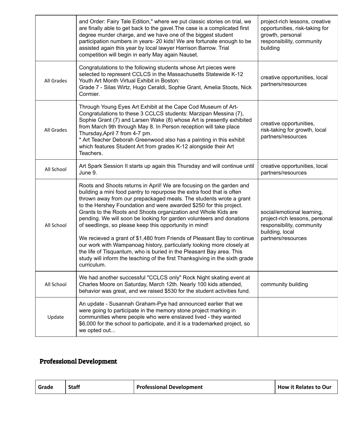|            | and Order: Fairy Tale Edition," where we put classic stories on trial, we<br>are finally able to get back to the gavel. The case is a complicated first<br>degree murder charge, and we have one of the biggest student<br>participation numbers in years- 20 kids! We are fortunate enough to be<br>assisted again this year by local lawyer Harrison Barrow. Trial<br>competition will begin in early May again Nauset.                                                                                                                                                                                                                                                                                                                                                                                               | project-rich lessons, creative<br>opportunities, risk-taking for<br>growth, personal<br>responsibility, community<br>building      |
|------------|-------------------------------------------------------------------------------------------------------------------------------------------------------------------------------------------------------------------------------------------------------------------------------------------------------------------------------------------------------------------------------------------------------------------------------------------------------------------------------------------------------------------------------------------------------------------------------------------------------------------------------------------------------------------------------------------------------------------------------------------------------------------------------------------------------------------------|------------------------------------------------------------------------------------------------------------------------------------|
| All Grades | Congratulations to the following students whose Art pieces were<br>selected to represent CCLCS in the Massachusetts Statewide K-12<br>Youth Art Month Virtual Exhibit in Boston:<br>Grade 7 - Silas Wirtz, Hugo Ceraldi, Sophie Grant, Amelia Stoots, Nick<br>Cormier.                                                                                                                                                                                                                                                                                                                                                                                                                                                                                                                                                  | creative opportunities, local<br>partners/resources                                                                                |
| All Grades | Through Young Eyes Art Exhibit at the Cape Cod Museum of Art-<br>Congratulations to these 3 CCLCS students: Marzipan Messina (7),<br>Sophie Grant (7) and Larsen Wake (8) whose Art is presently exhibited<br>from March 9th through May 8. In Person reception will take place<br>Thursday, April 7 from 4-7 pm.<br>* Art Teacher Deborah Greenwood also has a painting in this exhibit<br>which features Student Art from grades K-12 alongside their Art<br>Teachers.                                                                                                                                                                                                                                                                                                                                                | creative opportunities,<br>risk-taking for growth, local<br>partners/resources                                                     |
| All School | Art Spark Session II starts up again this Thursday and will continue until<br>June 9.                                                                                                                                                                                                                                                                                                                                                                                                                                                                                                                                                                                                                                                                                                                                   | creative opportunities, local<br>partners/resources                                                                                |
| All School | Roots and Shoots returns in April! We are focusing on the garden and<br>building a mini food pantry to repurpose the extra food that is often<br>thrown away from our prepackaged meals. The students wrote a grant<br>to the Hershey Foundation and were awarded \$250 for this project.<br>Grants to the Roots and Shoots organization and Whole Kids are<br>pending. We will soon be looking for garden volunteers and donations<br>of seedlings, so please keep this opportunity in mind!<br>We recieved a grant of \$1,480 from Friends of Pleasant Bay to continue<br>our work with Wampanoag history, particularly looking more closely at<br>the life of Tisquantum, who is buried in the Pleasant Bay area. This<br>study will inform the teaching of the first Thanksgiving in the sixth grade<br>curriculum. | social/emotional learning,<br>project-rich lessons, personal<br>responsibility, community<br>building, local<br>partners/resources |
| All School | We had another successful "CCLCS only" Rock Night skating event at<br>Charles Moore on Saturday, March 12th. Nearly 100 kids attended,<br>behavior was great, and we raised \$530 for the student activities fund.                                                                                                                                                                                                                                                                                                                                                                                                                                                                                                                                                                                                      | community building                                                                                                                 |
| Update     | An update - Susannah Graham-Pye had announced earlier that we<br>were going to participate in the memory stone project marking in<br>communities where people who were enslaved lived - they wanted<br>\$6,000 for the school to participate, and it is a trademarked project, so<br>we opted out                                                                                                                                                                                                                                                                                                                                                                                                                                                                                                                       |                                                                                                                                    |

# Professional Development

| Grade | <b>Staff</b> | <b>Professional Development</b> | <b>How it Relates to Our</b> |
|-------|--------------|---------------------------------|------------------------------|
|-------|--------------|---------------------------------|------------------------------|